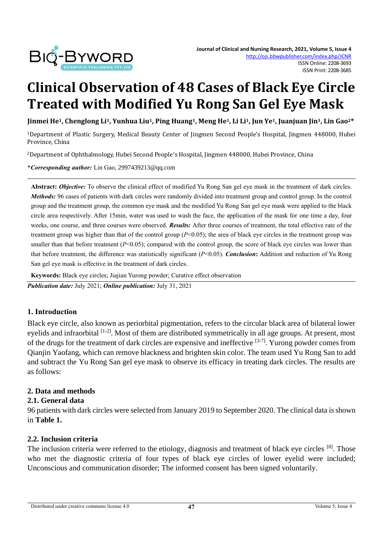

# **Clinical Observation of 48 Cases of Black Eye Circle Treated with Modified Yu Rong San Gel Eye Mask**

Jinmei He<sup>1</sup>, Chenglong Li<sup>1</sup>, Yunhua Liu<sup>1</sup>, Ping Huang<sup>1</sup>, Meng He<sup>1</sup>, Li Li<sup>1</sup>, Jun Ye<sup>1</sup>, Juanjuan Jin<sup>1</sup>, Lin Gao<sup>2\*</sup>

<sup>1</sup>Department of Plastic Surgery, Medical Beauty Center of Jingmen Second People's Hospital, Jingmen 448000, Hubei Province, China

<sup>2</sup>Department of Ophthalmology, Hubei Second People's Hospital, Jingmen 448000, Hubei Province, China

**\****Corresponding author:* Lin Gao, 2997439213@qq.com

**Abstract:** *Objective:* To observe the clinical effect of modified Yu Rong San gel eye mask in the treatment of dark circles. *Methods:* 96 cases of patients with dark circles were randomly divided into treatment group and control group. In the control group and the treatment group, the common eye mask and the modified Yu Rong San gel eye mask were applied to the black circle area respectively. After 15min, water was used to wash the face, the application of the mask for one time a day, four weeks, one course, and three courses were observed. *Results:* After three courses of treatment, the total effective rate of the treatment group was higher than that of the control group (*P*<0.05); the area of black eye circles in the treatment group was smaller than that before treatment  $(P<0.05)$ ; compared with the control group, the score of black eye circles was lower than that before treatment, the difference was statistically significant (*P*<0.05). *Conclusion***:** Addition and reduction of Yu Rong San gel eye mask is effective in the treatment of dark circles.

**Keywords:** Black eye circles; Jiajian Yurong powder; Curative effect observation

*Publication date:* July 2021; *Online publication:* July 31, 2021

## **1. Introduction**

Black eye circle, also known as periorbital pigmentation, refers to the circular black area of bilateral lower evelids and infraorbital [1-2]. Most of them are distributed symmetrically in all age groups. At present, most of the drugs for the treatment of dark circles are expensive and ineffective [3-7]. Yurong powder comes from Qianjin Yaofang, which can remove blackness and brighten skin color. The team used Yu Rong San to add and subtract the Yu Rong San gel eye mask to observe its efficacy in treating dark circles. The results are as follows:

#### **2. Data and methods**

#### **2.1. General data**

96 patients with dark circles were selected from January 2019 to September 2020. The clinical data is shown in **Table 1.**

#### **2.2. Inclusion criteria**

The inclusion criteria were referred to the etiology, diagnosis and treatment of black eye circles [8]. Those who met the diagnostic criteria of four types of black eye circles of lower eyelid were included; Unconscious and communication disorder; The informed consent has been signed voluntarily.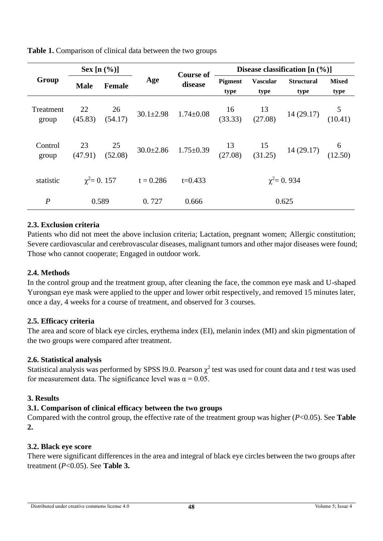| Group              | Sex $[n (%)]$             |               |             | <b>Course of</b> | Disease classification $[n (%)]$ |                         |                                                                                                                                                                                       |                      |
|--------------------|---------------------------|---------------|-------------|------------------|----------------------------------|-------------------------|---------------------------------------------------------------------------------------------------------------------------------------------------------------------------------------|----------------------|
|                    | <b>Male</b>               | <b>Female</b> | Age         | disease          | Pigment<br>type                  | <b>Vascular</b><br>type | <b>Structural</b><br>type                                                                                                                                                             | <b>Mixed</b><br>type |
| Treatment<br>group | 22<br>(45.83)             | 26<br>(54.17) |             |                  |                                  |                         | 30.1±2.98  1.74±0.08 $\begin{array}{cc} 16 & 13 \\ (33.33) & (27.08) \end{array}$ 14 (29.17) $\begin{array}{cc} 5 \\ (10.41) \end{array}$                                             |                      |
| Control<br>group   | $\frac{23}{1}$<br>(47.91) |               |             |                  |                                  |                         | $\begin{array}{cccc} 25 & 30.0 \pm 2.86 & 1.75 \pm 0.39 & 13 & 15 & 14 (29.17) & 6 \\ (52.08) & 30.0 \pm 2.86 & 1.75 \pm 0.39 & (27.08) & (31.25) & 14 (29.17) & (12.50) \end{array}$ |                      |
| statistic          | $\gamma^2 = 0.157$        |               | $t = 0.286$ | $t=0.433$        | $\gamma^2 = 0.934$               |                         |                                                                                                                                                                                       |                      |
| $\boldsymbol{P}$   | 0.589                     |               | 0.727       | 0.666            | 0.625                            |                         |                                                                                                                                                                                       |                      |

**Table 1.** Comparison of clinical data between the two groups

# **2.3. Exclusion criteria**

Patients who did not meet the above inclusion criteria; Lactation, pregnant women; Allergic constitution; Severe cardiovascular and cerebrovascular diseases, malignant tumors and other major diseases were found; Those who cannot cooperate; Engaged in outdoor work.

## **2.4. Methods**

In the control group and the treatment group, after cleaning the face, the common eye mask and U-shaped Yurongsan eye mask were applied to the upper and lower orbit respectively, and removed 15 minutes later, once a day, 4 weeks for a course of treatment, and observed for 3 courses.

## **2.5. Efficacy criteria**

The area and score of black eye circles, erythema index (EI), melanin index (MI) and skin pigmentation of the two groups were compared after treatment.

## **2.6. Statistical analysis**

Statistical analysis was performed by SPSS 19.0. Pearson  $\chi^2$  test was used for count data and *t* test was used for measurement data. The significance level was  $\alpha = 0.05$ .

## **3. Results**

## **3.1. Comparison of clinical efficacy between the two groups**

Compared with the control group, the effective rate of the treatment group was higher (*P*<0.05). See **Table 2.**

## **3.2. Black eye score**

There were significant differences in the area and integral of black eye circles between the two groups after treatment (*P*<0.05). See **Table 3.**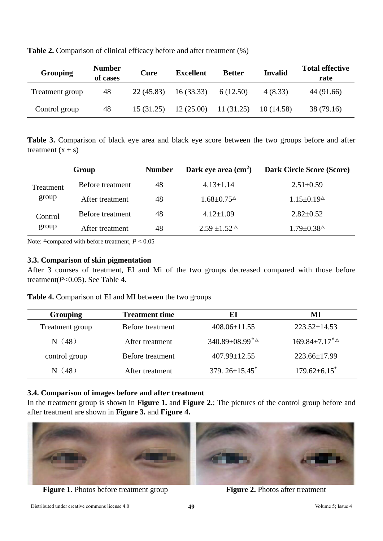| <b>Grouping</b> | <b>Number</b><br>of cases | Cure      | <b>Excellent</b> | <b>Better</b> | <b>Invalid</b> | <b>Total effective</b><br>rate |
|-----------------|---------------------------|-----------|------------------|---------------|----------------|--------------------------------|
| Treatment group | 48                        | 22(45.83) | 16(33.33)        | 6 (12.50)     | 4(8.33)        | 44 (91.66)                     |
| Control group   | 48                        | 15(31.25) | 12(25.00)        | 11(31.25)     | 10(14.58)      | 38 (79.16)                     |

**Table 2.** Comparison of clinical efficacy before and after treatment (%)

**Table 3.** Comparison of black eye area and black eye score between the two groups before and after treatment  $(x \pm s)$ 

|                    | Group            | <b>Number</b> | Dark eye area $\text{(cm}^2\text{)}$              | <b>Dark Circle Score (Score)</b>                  |
|--------------------|------------------|---------------|---------------------------------------------------|---------------------------------------------------|
| Treatment<br>group | Before treatment | 48            | $4.13 \pm 1.14$                                   | $2.51 \pm 0.59$                                   |
|                    | After treatment  | 48            | $1.68 \pm 0.75$ <sup><math>\triangle</math></sup> | $1.15 \pm 0.19$ <sup><math>\triangle</math></sup> |
| Control<br>group   | Before treatment | 48            | $4.12 \pm 1.09$                                   | $2.82 \pm 0.52$                                   |
|                    | After treatment  | 48            | $2.59 \pm 1.52$ $\triangle$                       | $1.79 \pm 0.38$ <sup><math>\triangle</math></sup> |

Note:  $\triangle$ compared with before treatment,  $P < 0.05$ 

#### **3.3. Comparison of skin pigmentation**

After 3 courses of treatment, EI and Mi of the two groups decreased compared with those before treatment(*P*<0.05). See Table 4.

**Table 4.** Comparison of EI and MI between the two groups

| <b>Grouping</b> | <b>Treatment time</b> | El                                          | MI                             |
|-----------------|-----------------------|---------------------------------------------|--------------------------------|
| Treatment group | Before treatment      | $408.06 \pm 11.55$                          | $223.52 \pm 14.53$             |
| N(48)           | After treatment       | 340.89 $\pm$ 08.99 <sup>*</sup> $\triangle$ | $169.84 \pm 7.17^{*}\triangle$ |
| control group   | Before treatment      | $407.99 \pm 12.55$                          | $223.66 \pm 17.99$             |
| N(48)           | After treatment       | $379.26 \pm 15.45$ <sup>*</sup>             | $179.62 \pm 6.15$ <sup>*</sup> |

#### **3.4. Comparison of images before and after treatment**

In the treatment group is shown in **Figure 1.** and **Figure 2.**; The pictures of the control group before and after treatment are shown in **Figure 3.** and **Figure 4.**



**Figure 1.** Photos before treatment group **Figure 2.** Photos after treatment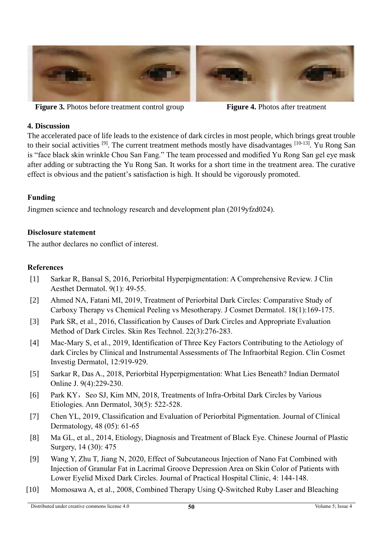

**Figure 3.** Photos before treatment control group **Figure 4.** Photos after treatment

# **4. Discussion**

The accelerated pace of life leads to the existence of dark circles in most people, which brings great trouble to their social activities  $[9]$ . The current treatment methods mostly have disadvantages  $[10-13]$ . Yu Rong San is "face black skin wrinkle Chou San Fang." The team processed and modified Yu Rong San gel eye mask after adding or subtracting the Yu Rong San. It works for a short time in the treatment area. The curative effect is obvious and the patient's satisfaction is high. It should be vigorously promoted.

# **Funding**

Jingmen science and technology research and development plan (2019yfzd024).

# **Disclosure statement**

The author declares no conflict of interest.

# **References**

- [1] Sarkar R, Bansal S, 2016, Periorbital Hyperpigmentation: A Comprehensive Review. J Clin Aesthet Dermatol. 9(1): 49-55.
- [2] Ahmed NA, Fatani MI, 2019, Treatment of Periorbital Dark Circles: Comparative Study of Carboxy Therapy vs Chemical Peeling vs Mesotherapy. J Cosmet Dermatol. 18(1):169-175.
- [3] Park SR, et al., 2016, Classification by Causes of Dark Circles and Appropriate Evaluation Method of Dark Circles. Skin Res Technol. 22(3):276-283.
- [4] Mac-Mary S, et al., 2019, Identification of Three Key Factors Contributing to the Aetiology of dark Circles by Clinical and Instrumental Assessments of The Infraorbital Region. Clin Cosmet Investig Dermatol, 12:919-929.
- [5] Sarkar R, Das A., 2018, Periorbital Hyperpigmentation: What Lies Beneath? Indian Dermatol Online J. 9(4):229-230.
- [6] Park KY, Seo SJ, Kim MN, 2018, Treatments of Infra-Orbital Dark Circles by Various Etiologies. Ann Dermatol, 30(5): 522-528.
- [7] Chen YL, 2019, Classification and Evaluation of Periorbital Pigmentation. Journal of Clinical Dermatology, 48 (05): 61-65
- [8] Ma GL, et al., 2014, Etiology, Diagnosis and Treatment of Black Eye. Chinese Journal of Plastic Surgery, 14 (30): 475
- [9] Wang Y, Zhu T, Jiang N, 2020, Effect of Subcutaneous Injection of Nano Fat Combined with Injection of Granular Fat in Lacrimal Groove Depression Area on Skin Color of Patients with Lower Eyelid Mixed Dark Circles. Journal of Practical Hospital Clinic, 4: 144-148.
- [10] Momosawa A, et al., 2008, Combined Therapy Using Q-Switched Ruby Laser and Bleaching